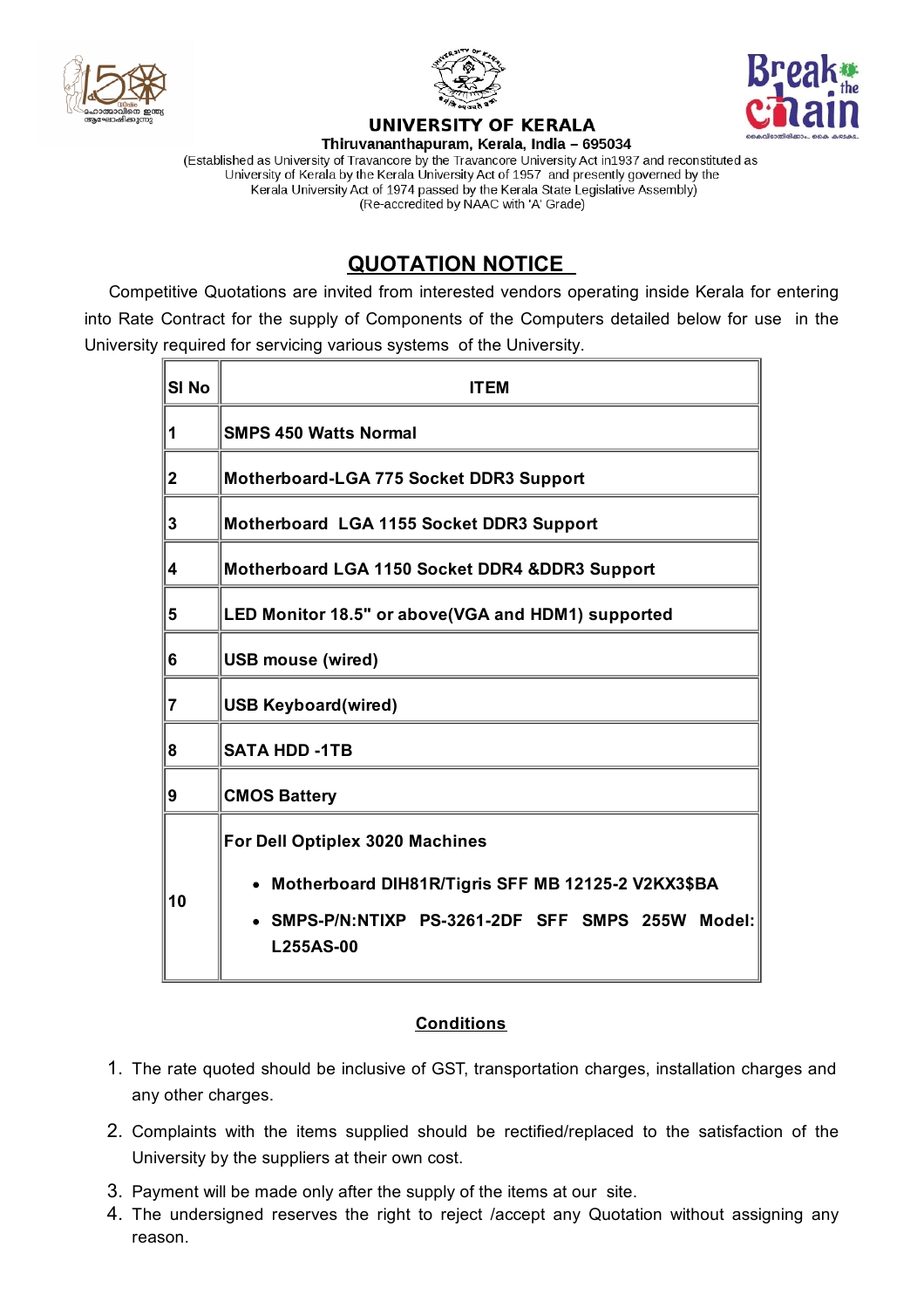





## UNIVERSITY OF KERALA

Thiruvananthapuram, Kerala, India - 695034 (Established as University of Travancore by the Travancore University Act in1937 and reconstituted as University of Kerala by the Kerala University Act of 1957 and presently governed by the Kerala University Act of 1974 passed by the Kerala State Legislative Assembly) (Re-accredited by NAAC with 'A' Grade)

## **QUOTATION NOTICE**

Competitive Quotations are invited from interested vendors operating inside Kerala for entering into Rate Contract for the supply of Components of the Computers detailed below for use in the University required for servicing various systems of the University.

| SI <sub>No</sub> | <b>ITEM</b>                                                         |
|------------------|---------------------------------------------------------------------|
| 1                | <b>SMPS 450 Watts Normal</b>                                        |
| $\mathbf 2$      | Motherboard-LGA 775 Socket DDR3 Support                             |
| 3                | Motherboard LGA 1155 Socket DDR3 Support                            |
| 4                | Motherboard LGA 1150 Socket DDR4 &DDR3 Support                      |
| 5                | LED Monitor 18.5" or above (VGA and HDM1) supported                 |
| 6                | <b>USB mouse (wired)</b>                                            |
| 7                | <b>USB Keyboard(wired)</b>                                          |
| 8                | <b>SATA HDD -1TB</b>                                                |
| 9                | <b>CMOS Battery</b>                                                 |
| 10               | For Dell Optiplex 3020 Machines                                     |
|                  | Motherboard DIH81R/Tigris SFF MB 12125-2 V2KX3\$BA                  |
|                  | SMPS-P/N:NTIXP PS-3261-2DF SFF SMPS 255W Model:<br><b>L255AS-00</b> |

## **Conditions**

- 1. The rate quoted should be inclusive of GST, transportation charges, installation charges and any other charges.
- 2. Complaints with the items supplied should be rectified/replaced to the satisfaction of the University by the suppliers at their own cost.
- 3. Payment will be made only after the supply of the items at our site.
- 4. The undersigned reserves the right to reject /accept any Quotation without assigning any reason.